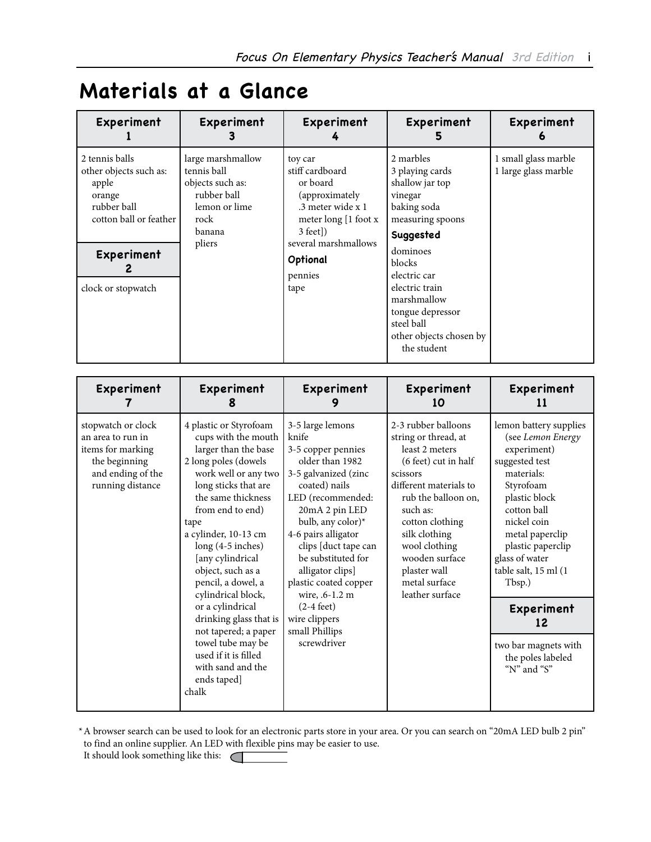## **Materials at a Glance**

| Experiment                                                                                                                               | Experiment                                                                                                       | Experiment                                                                                                                                                                  | Experiment                                                                                                                                                                                                                                                    | Experiment<br>O                              |
|------------------------------------------------------------------------------------------------------------------------------------------|------------------------------------------------------------------------------------------------------------------|-----------------------------------------------------------------------------------------------------------------------------------------------------------------------------|---------------------------------------------------------------------------------------------------------------------------------------------------------------------------------------------------------------------------------------------------------------|----------------------------------------------|
| 2 tennis balls<br>other objects such as:<br>apple<br>orange<br>rubber ball<br>cotton ball or feather<br>Experiment<br>clock or stopwatch | large marshmallow<br>tennis ball<br>objects such as:<br>rubber ball<br>lemon or lime<br>rock<br>banana<br>pliers | toy car<br>stiff cardboard<br>or board<br>(approximately)<br>.3 meter wide x 1<br>meter long [1 foot x<br>$3$ feet])<br>several marshmallows<br>Optional<br>pennies<br>tape | 2 marbles<br>3 playing cards<br>shallow jar top<br>vinegar<br>baking soda<br>measuring spoons<br>Suggested<br>dominoes<br>blocks<br>electric car<br>electric train<br>marshmallow<br>tongue depressor<br>steel ball<br>other objects chosen by<br>the student | 1 small glass marble<br>1 large glass marble |

| Experiment                                                                                                             | Experiment                                                                                                                                                                                                                                                                                                                                                                                                                                                                                        | Experiment                                                                                                                                                                                                                                                                                                                                                                            | Experiment<br>10                                                                                                                                                                                                                                                                          | Experiment<br>11                                                                                                                                                                                                                                                                                                                   |
|------------------------------------------------------------------------------------------------------------------------|---------------------------------------------------------------------------------------------------------------------------------------------------------------------------------------------------------------------------------------------------------------------------------------------------------------------------------------------------------------------------------------------------------------------------------------------------------------------------------------------------|---------------------------------------------------------------------------------------------------------------------------------------------------------------------------------------------------------------------------------------------------------------------------------------------------------------------------------------------------------------------------------------|-------------------------------------------------------------------------------------------------------------------------------------------------------------------------------------------------------------------------------------------------------------------------------------------|------------------------------------------------------------------------------------------------------------------------------------------------------------------------------------------------------------------------------------------------------------------------------------------------------------------------------------|
| stopwatch or clock<br>an area to run in<br>items for marking<br>the beginning<br>and ending of the<br>running distance | 4 plastic or Styrofoam<br>cups with the mouth<br>larger than the base<br>2 long poles (dowels<br>work well or any two<br>long sticks that are<br>the same thickness<br>from end to end)<br>tape<br>a cylinder, 10-13 cm<br>long (4-5 inches)<br>[any cylindrical<br>object, such as a<br>pencil, a dowel, a<br>cylindrical block,<br>or a cylindrical<br>drinking glass that is<br>not tapered; a paper<br>towel tube may be<br>used if it is filled<br>with sand and the<br>ends taped]<br>chalk | 3-5 large lemons<br>knife<br>3-5 copper pennies<br>older than 1982<br>3-5 galvanized (zinc<br>coated) nails<br>LED (recommended:<br>20mA 2 pin LED<br>bulb, any color)*<br>4-6 pairs alligator<br>clips [duct tape can<br>be substituted for<br>alligator clips]<br>plastic coated copper<br>wire, .6-1.2 m<br>$(2-4 \text{ feet})$<br>wire clippers<br>small Phillips<br>screwdriver | 2-3 rubber balloons<br>string or thread, at<br>least 2 meters<br>(6 feet) cut in half<br>scissors<br>different materials to<br>rub the balloon on,<br>such as:<br>cotton clothing<br>silk clothing<br>wool clothing<br>wooden surface<br>plaster wall<br>metal surface<br>leather surface | lemon battery supplies<br>(see Lemon Energy<br>experiment)<br>suggested test<br>materials:<br>Styrofoam<br>plastic block<br>cotton ball<br>nickel coin<br>metal paperclip<br>plastic paperclip<br>glass of water<br>table salt, 15 ml (1<br>Tbsp.)<br>Experiment<br>12<br>two bar magnets with<br>the poles labeled<br>"N" and "S" |

\*A browser search can be used to look for an electronic parts store in your area. Or you can search on "20mA LED bulb 2 pin" to find an online supplier. An LED with flexible pins may be easier to use.

It should look something like this: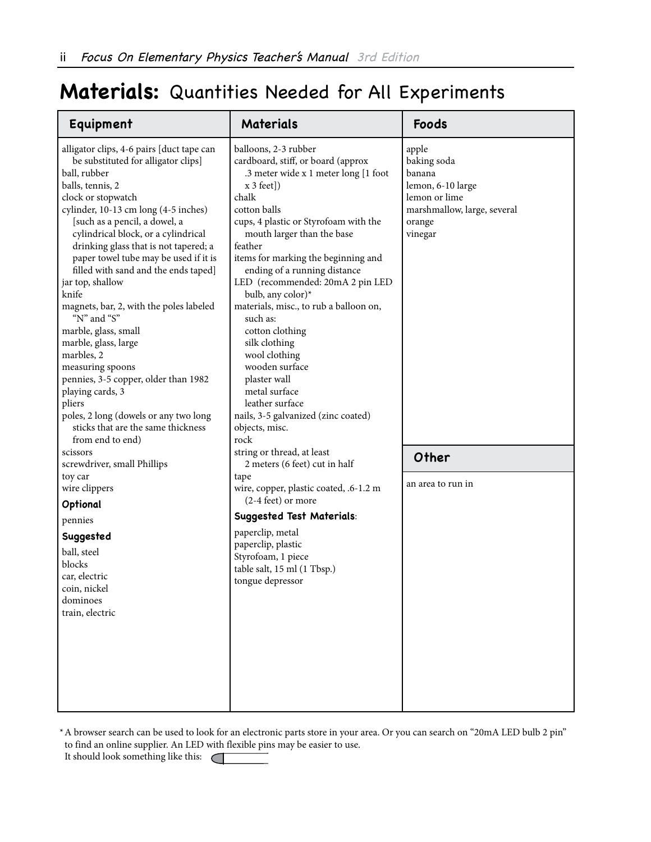## **Materials:** Quantities Needed for All Experiments

| Equipment                                                                                                                                                                                                                                                                                                                                                                                                                                                                                                                                                                                                                                                                                                                              | <b>Materials</b>                                                                                                                                                                                                                                                                                                                                                                                                                                                                                                                                                                                                | Foods                                                                                                                    |
|----------------------------------------------------------------------------------------------------------------------------------------------------------------------------------------------------------------------------------------------------------------------------------------------------------------------------------------------------------------------------------------------------------------------------------------------------------------------------------------------------------------------------------------------------------------------------------------------------------------------------------------------------------------------------------------------------------------------------------------|-----------------------------------------------------------------------------------------------------------------------------------------------------------------------------------------------------------------------------------------------------------------------------------------------------------------------------------------------------------------------------------------------------------------------------------------------------------------------------------------------------------------------------------------------------------------------------------------------------------------|--------------------------------------------------------------------------------------------------------------------------|
| alligator clips, 4-6 pairs [duct tape can<br>be substituted for alligator clips]<br>ball, rubber<br>balls, tennis, 2<br>clock or stopwatch<br>cylinder, 10-13 cm long (4-5 inches)<br>[such as a pencil, a dowel, a<br>cylindrical block, or a cylindrical<br>drinking glass that is not tapered; a<br>paper towel tube may be used if it is<br>filled with sand and the ends taped]<br>jar top, shallow<br>knife<br>magnets, bar, 2, with the poles labeled<br>"N" and "S"<br>marble, glass, small<br>marble, glass, large<br>marbles, 2<br>measuring spoons<br>pennies, 3-5 copper, older than 1982<br>playing cards, 3<br>pliers<br>poles, 2 long (dowels or any two long<br>sticks that are the same thickness<br>from end to end) | balloons, 2-3 rubber<br>cardboard, stiff, or board (approx<br>.3 meter wide x 1 meter long [1 foot<br>$x 3$ feet])<br>chalk<br>cotton balls<br>cups, 4 plastic or Styrofoam with the<br>mouth larger than the base<br>feather<br>items for marking the beginning and<br>ending of a running distance<br>LED (recommended: 20mA 2 pin LED<br>bulb, any color)*<br>materials, misc., to rub a balloon on,<br>such as:<br>cotton clothing<br>silk clothing<br>wool clothing<br>wooden surface<br>plaster wall<br>metal surface<br>leather surface<br>nails, 3-5 galvanized (zinc coated)<br>objects, misc.<br>rock | apple<br>baking soda<br>banana<br>lemon, 6-10 large<br>lemon or lime<br>marshmallow, large, several<br>orange<br>vinegar |
| scissors<br>screwdriver, small Phillips                                                                                                                                                                                                                                                                                                                                                                                                                                                                                                                                                                                                                                                                                                | string or thread, at least<br>2 meters (6 feet) cut in half                                                                                                                                                                                                                                                                                                                                                                                                                                                                                                                                                     | Other                                                                                                                    |
| toy car<br>wire clippers<br>Optional                                                                                                                                                                                                                                                                                                                                                                                                                                                                                                                                                                                                                                                                                                   | tape<br>wire, copper, plastic coated, .6-1.2 m<br>$(2-4 \text{ feet})$ or more                                                                                                                                                                                                                                                                                                                                                                                                                                                                                                                                  | an area to run in                                                                                                        |
| pennies                                                                                                                                                                                                                                                                                                                                                                                                                                                                                                                                                                                                                                                                                                                                | <b>Suggested Test Materials:</b>                                                                                                                                                                                                                                                                                                                                                                                                                                                                                                                                                                                |                                                                                                                          |
| Suggested<br>ball, steel<br>blocks<br>car, electric<br>coin, nickel<br>dominoes<br>train, electric                                                                                                                                                                                                                                                                                                                                                                                                                                                                                                                                                                                                                                     | paperclip, metal<br>paperclip, plastic<br>Styrofoam, 1 piece<br>table salt, 15 ml (1 Tbsp.)<br>tongue depressor                                                                                                                                                                                                                                                                                                                                                                                                                                                                                                 |                                                                                                                          |

\*A browser search can be used to look for an electronic parts store in your area. Or you can search on "20mA LED bulb 2 pin" to find an online supplier. An LED with flexible pins may be easier to use.

It should look something like this:  $\subset$